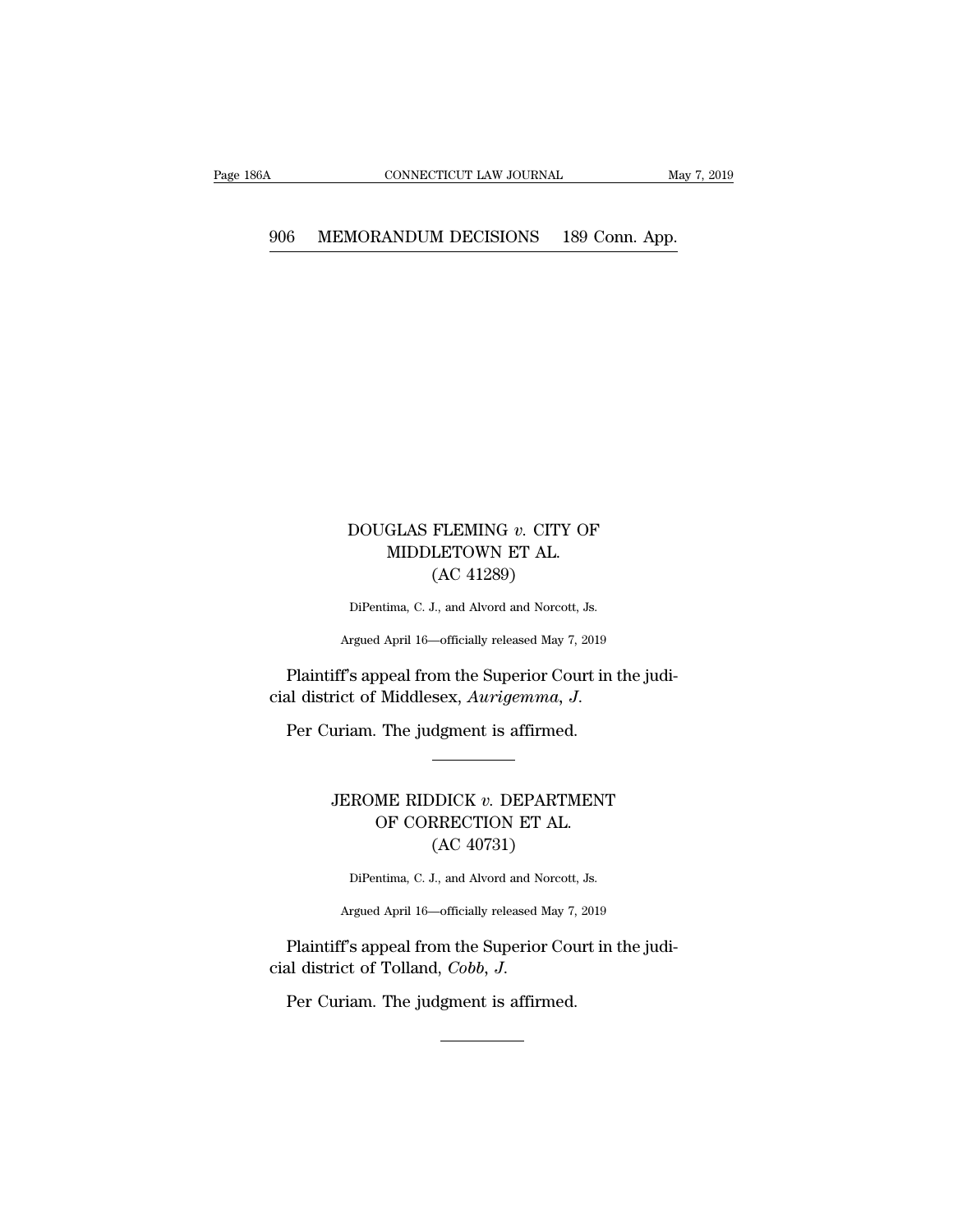# CONNECTICUT LAW JOURNAL May 7, 2<br>906 MEMORANDUM DECISIONS 189 Conn. App.

## DOUGLAS FLEMING *v*. CITY OF MIDDLETOWN ET AL. GLAS FLEMING  $v$ . CITY OF MIDDLETOWN ET AL.  $(AC 41289)$ FLEMING v. CITY<br>LETOWN ET AL.<br>(AC 41289)<br>I., and Alvord and Norcott DOUGLAS FLEMING v. CITY OF<br>MIDDLETOWN ET AL.<br>(AC 41289)<br>DiPentima, C. J., and Alvord and Norcott, Js.<br>Argued April 16—officially released May 7, 2019

DiPentima, C. J., and Alvord and Norcott, Js.

Plaintiff's appeal from the Superior Court in the judicial district of Middlesex, Aurigemma, J. (AC 41289)<br>DiPentima, C. J., and Alvord and Norcott, Js.<br>Argued April 16—officially released May 7, 2019<br>Plaintiff's appeal from the Superior Court in t<br>cial district of Middlesex, *Aurigemma*, J.<br>Per Curiam. The judgment

### iff's appeal from the Superior Court in the judi-<br>rict of Middlesex, Aurigemma, J.<br>uriam. The judgment is affirmed.<br>**JEROME RIDDICK v. DEPARTMENT**<br>OF CORRECTION ET AL. Middlesex, Aurigemma, J.<br>The judgment is affirmed.<br>NE RIDDICK v. DEPARTMENT<br>OF CORRECTION ET AL.<br>(AC 40731) (AC 40731) JEROME RIDDICK  $v$ . DEPARTMENT

Argued April 16—officially released May 7, 2019<br>Plaintiff's appeal from the Superior Court in the judi-OF CORRECTION ET AL.<br>
(AC 40731)<br>
DiPentima, C. J., and Alvord and Norcott, Js.<br>
Argued April 16—officially released May 7, 2019<br>
Plaintiff's appeal from the Superior Court in the judi-<br>
al district of Tolland, *Cobb*, *J* (AC 40731)<br>DiPentima, C. J., and Alvord and Norcott,<br>Argued April 16—officially released May 7,<br>Plaintiff's appeal from the Superior Cou<br>cial district of Tolland, *Cobb*, *J*.<br>Per Curiam. The judgment is affirmed.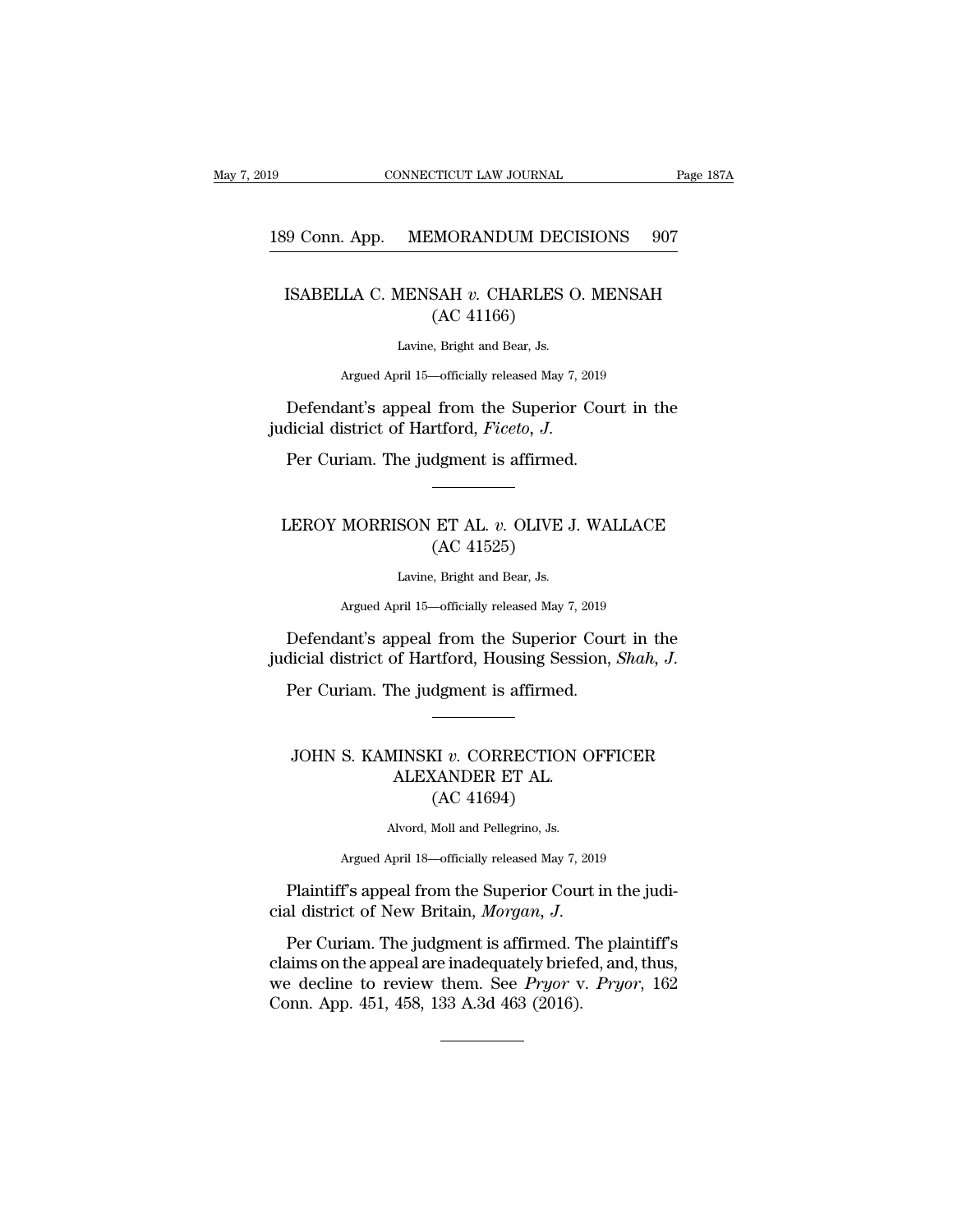# 189 CONNECTICUT LAW JOURNAL Page 187A<br>189 Conn. App. MEMORANDUM DECISIONS 907

### EXECUTE CONNECTICUT LAW JOURNAL Page 187A<br>
ISABELLA C. MENSAH *v*. CHARLES O. MENSAH<br>
(AC 41166) MORANDUM DEC<br>SAH v. CHARLES (<br>(AC 41166)<br>, Bright and Bear, Js. MENSAH  $v$ . CHARLES C<br>
(AC 41166)<br>
Lavine, Bright and Bear, Js. LA C. MENSAH v. CHARLES O. MENSAH<br>(AC 41166)<br>Lavine, Bright and Bear, Js.<br>Argued April 15—officially released May 7, 2019 ISABELLA C. MENSAH  $v$ . CHARLES O. MENSAH (AC 41166)<br>
Lavine, Bright and Bear, Js.<br>
Argued April 15—officially released May 7, 2019<br>
Defendant's appeal from the Superior Court in the<br>
dicial district of Hartford, *Ficeto*

(AC 41166)<br>(AC 41166)<br>Lavine, Bright and Bear, Js.<br>Argued April 15—officially released May 7, 2019<br>Defendant's appeal from the Superior Coul<br>judicial district of Hartford, *Ficeto*, J.<br>Per Curiam. The judgment is affirmed.

### Defendant's appeal from the Superior Court in the<br>dicial district of Hartford, *Ficeto*, *J.*<br>Per Curiam. The judgment is affirmed.<br><br>**LEROY MORRISON ET AL.** *v***. OLIVE J. WALLACE**<br>(AC 41525) rtford, *Ficeto*, *J.*<br>dgment is affirmed.<br>ET AL. *v*. OLIVE J<br>(AC 41525)<br>, Bright and Bear, Js. SON ET AL. *v*. OLIVE J<br>
(AC 41525)<br>
Lavine, Bright and Bear, Js. MORRISON ET AL. *v*. OLIVE J. WALLACE<br>(AC 41525)<br>Lavine, Bright and Bear, Js.<br>Argued April 15—officially released May 7, 2019

LEROY MORRISON ET AL. v. OLIVE J. WALLACE<br>
(AC 41525)<br>
Lavine, Bright and Bear, Js.<br>
Argued April 15—officially released May 7, 2019<br>
Defendant's appeal from the Superior Court in the<br>
dicial district of Hartford, Housing Function of Hartford, Housing Session, *Shah, J.* Per Curiam. The judgment is affirmed.<br>Per Curiam. The judgment is affirmed.

#### Defendant's appeal from the Superior Court in the<br>icial district of Hartford, Housing Session, *Shah*, *J.*<br>Per Curiam. The judgment is affirmed.<br>JOHN S. KAMINSKI *v.* CORRECTION OFFICER<br>ALEXANDER ET AL. of Hartford, Housing Sesside<br>he judgment is affirmed.<br>IINSKI v. CORRECTION C<br>ALEXANDER ET AL.<br>(AC 41694) (AC 41694) JOHN S. KAMINSKI v. CORRECTION OFFICER<br>ALEXANDER ET AL.<br>(AC 41694)<br>Alvord, Moll and Pellegrino, Js.<br>Argued April 18—officially released May 7, 2019 ALEXANDER ET AL.<br>
(AC 41694)<br>
Alvord, Moll and Pellegrino, Js.<br>
Argued April 18—officially released May 7, 2019 ALEXANDER ET AL.<br>
(AC 41694)<br>
Mord, Moll and Pellegrino, Js.<br>
Argued April 18—officially released May 7, 2019<br>
Plaintiff's appeal from the Superior Court in the judi-<br>
al district of New Britain, *Morgan*, J.

(AC 41694)<br>
(AC 41694)<br>
Alvord, Moll and Pellegrino, Js.<br>
Argued April 18—officially released May 7, 2019<br>
Plaintiff's appeal from the Superior Court in the judi-<br>
cial district of New Britain, *Morgan*, *J.*<br>
Per Curiam. Argued April 18—officially released May 7, 2019<br>
Plaintiff's appeal from the Superior Court in the judi-<br>
cial district of New Britain, *Morgan*, *J*.<br>
Per Curiam. The judgment is affirmed. The plaintiff's<br>
claims on the a Argued April 18—officially released May 7, 2019<br>
Plaintiff's appeal from the Superior Court in the judi-<br>
cial district of New Britain, *Morgan*, *J*.<br>
Per Curiam. The judgment is affirmed. The plaintiff's<br>
claims on the a Plaintiff's appeal from the Superior Courcial district of New Britain, *Morgan*, *J.*<br>Per Curiam. The judgment is affirmed. T<br>claims on the appeal are inadequately brief<br>we decline to review them. See *Pryor* v<br>Conn. App.